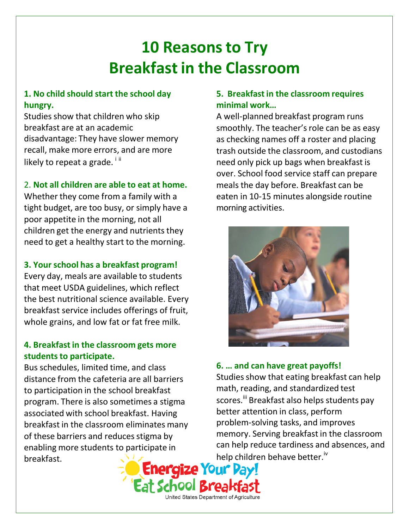# **10 Reasonsto Try Breakfast in the Classroom**

## **1. No child should start the school day hungry.**

Studies show that children who skip breakfast are at an academic disadvantage: They have slower memory recall, make more errors, and are more likely to repeat a grade.  $\frac{1}{10}$ 

## 2. **Not all children are able to eat at home.**

Whether they come from a family with a tight budget, are too busy, or simply have a poor appetite in the morning, not all children get the energy and nutrients they need to get a healthy start to the morning.

## **3. Your school has a breakfast program!**

Every day, meals are available to students that meet USDA guidelines, which reflect the best nutritional science available. Every breakfast service includes offerings of fruit, whole grains, and low fat or fat free milk.

#### **4. Breakfast in the classroom gets more students to participate.**

Bus schedules, limited time, and class distance from the cafeteria are all barriers to participation in the school breakfast program. There is also sometimes a stigma associated with school breakfast. Having breakfast in the classroom eliminates many of these barriers and reduces stigma by enabling more students to participate in breakfast.

## **5. Breakfast in the classroom requires minimal work…**

A well‐planned breakfast program runs smoothly. The teacher's role can be as easy as checking names off a roster and placing trash outside the classroom, and custodians need only pick up bags when breakfast is over. School food service staff can prepare meals the day before. Breakfast can be eaten in 10‐15 minutes alongside routine morning activities.



## **6. … and can have great payoffs!**

Studies show that eating breakfast can help math, reading, and standardized test scores.<sup>iii</sup> Breakfast also helps students pay better attention in class, perform problem‐solving tasks, and improves memory. Serving breakfast in the classroom can help reduce tardiness and absences, and help children behave better.<sup>iv</sup>